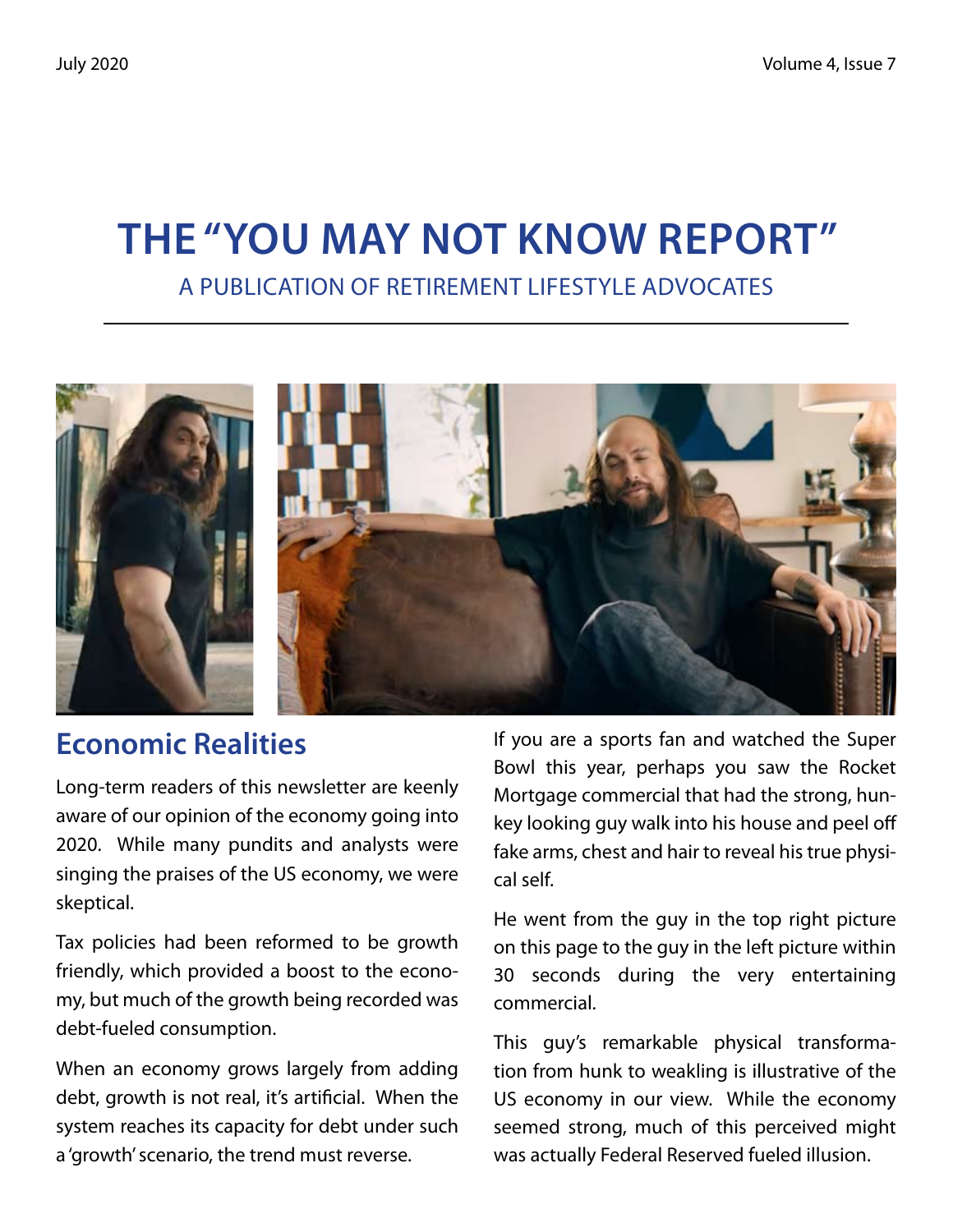# **The "You May Not Know Report"** A Publication of Retirement Lifestyle Advocates



#### **Economic Realities**

Long-term readers of this newsletter are keenly aware of our opinion of the economy going into 2020. While many pundits and analysts were singing the praises of the US economy, we were skeptical.

Tax policies had been reformed to be growth friendly, which provided a boost to the economy, but much of the growth being recorded was debt-fueled consumption.

When an economy grows largely from adding debt, growth is not real, it's artificial. When the system reaches its capacity for debt under such a 'growth' scenario, the trend must reverse.

If you are a sports fan and watched the Super Bowl this year, perhaps you saw the Rocket Mortgage commercial that had the strong, hunkey looking guy walk into his house and peel off fake arms, chest and hair to reveal his true physical self.

He went from the guy in the top right picture on this page to the guy in the left picture within 30 seconds during the very entertaining commercial.

This guy's remarkable physical transformation from hunk to weakling is illustrative of the US economy in our view. While the economy seemed strong, much of this perceived might was actually Federal Reserved fueled illusion.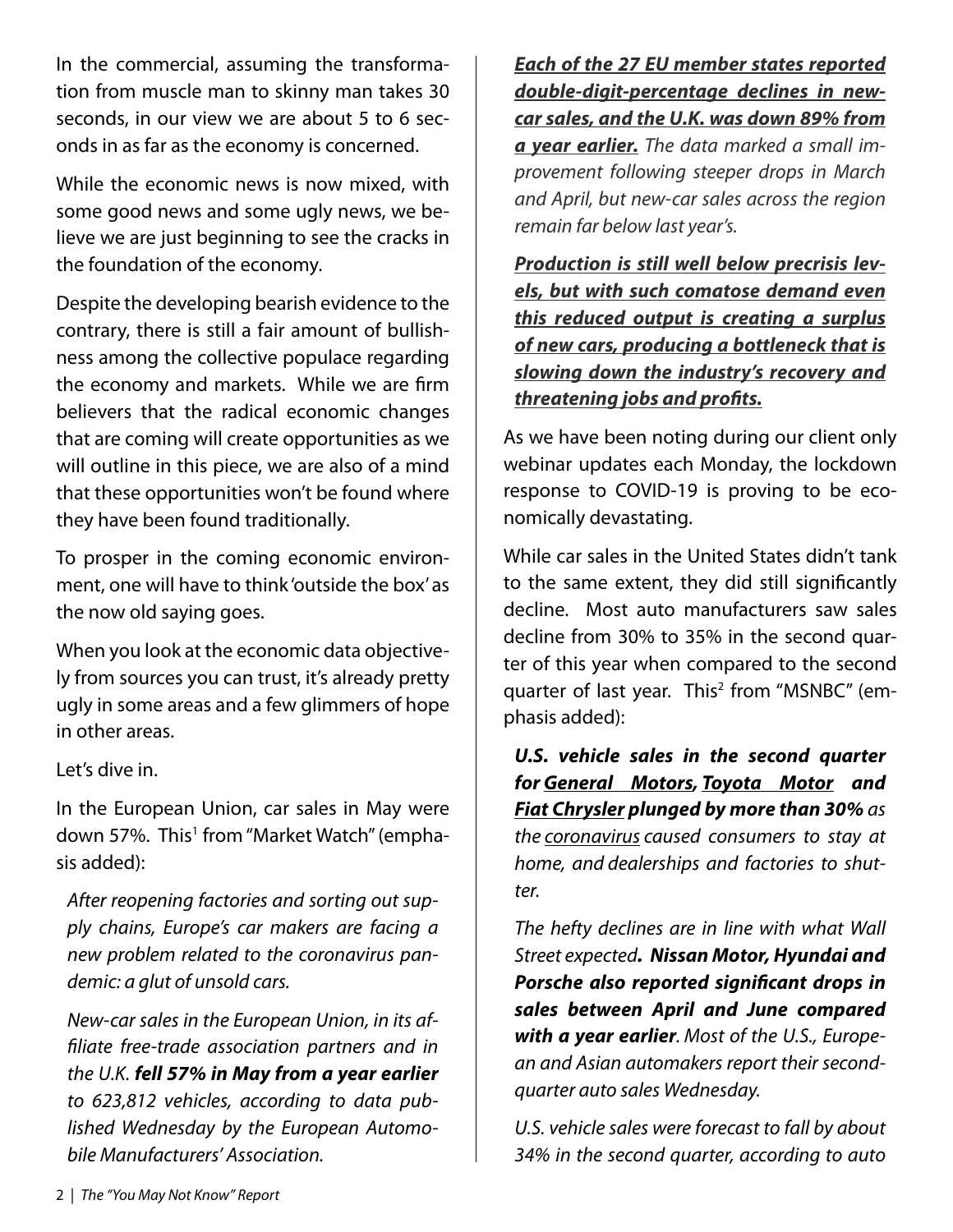In the commercial, assuming the transformation from muscle man to skinny man takes 30 seconds, in our view we are about 5 to 6 seconds in as far as the economy is concerned.

While the economic news is now mixed, with some good news and some ugly news, we believe we are just beginning to see the cracks in the foundation of the economy.

Despite the developing bearish evidence to the contrary, there is still a fair amount of bullishness among the collective populace regarding the economy and markets. While we are firm believers that the radical economic changes that are coming will create opportunities as we will outline in this piece, we are also of a mind that these opportunities won't be found where they have been found traditionally.

To prosper in the coming economic environment, one will have to think 'outside the box' as the now old saying goes.

When you look at the economic data objectively from sources you can trust, it's already pretty ugly in some areas and a few glimmers of hope in other areas.

Let's dive in.

In the European Union, car sales in May were down 57%. This<sup>1</sup> from "Market Watch" (emphasis added):

*After reopening factories and sorting out supply chains, Europe's car makers are facing a new problem related to the coronavirus pandemic: a glut of unsold cars.*

*New-car sales in the European Union, in its affiliate free-trade association partners and in the U.K. fell 57% in May from a year earlier to 623,812 vehicles, according to data published Wednesday by the European Automobile Manufacturers' Association.*

*Each of the 27 EU member states reported double-digit-percentage declines in newcar sales, and the U.K. was down 89% from a year earlier. The data marked a small improvement following steeper drops in March and April, but new-car sales across the region remain far below last year's.*

*Production is still well below precrisis levels, but with such comatose demand even this reduced output is creating a surplus of new cars, producing a bottleneck that is slowing down the industry's recovery and threatening jobs and profits.*

As we have been noting during our client only webinar updates each Monday, the lockdown response to COVID-19 is proving to be economically devastating.

While car sales in the United States didn't tank to the same extent, they did still significantly decline. Most auto manufacturers saw sales decline from 30% to 35% in the second quarter of this year when compared to the second quarter of last year. This<sup>2</sup> from "MSNBC" (emphasis added):

*U.S. vehicle sales in the second quarter for General Motors, Toyota Motor and Fiat Chrysler plunged by more than 30% as the coronavirus caused consumers to stay at home, and dealerships and factories to shutter.*

*The hefty declines are in line with what Wall Street expected. Nissan Motor, Hyundai and Porsche also reported significant drops in sales between April and June compared with a year earlier. Most of the U.S., European and Asian automakers report their secondquarter auto sales Wednesday.*

*U.S. vehicle sales were forecast to fall by about 34% in the second quarter, according to auto*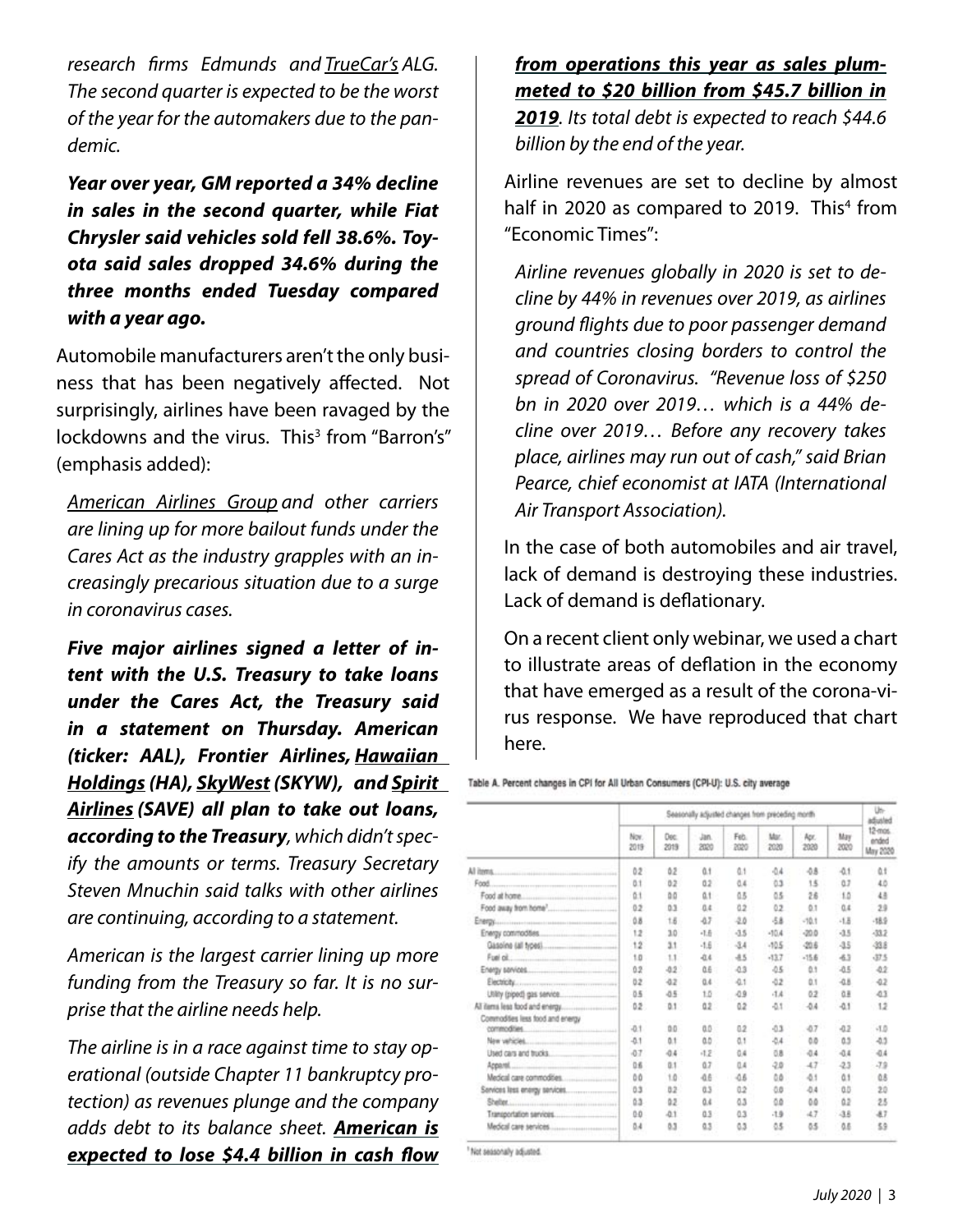*research firms Edmunds and TrueCar's ALG. The second quarter is expected to be the worst of the year for the automakers due to the pandemic.*

*Year over year, GM reported a 34% decline in sales in the second quarter, while Fiat Chrysler said vehicles sold fell 38.6%. Toyota said sales dropped 34.6% during the three months ended Tuesday compared with a year ago.*

Automobile manufacturers aren't the only business that has been negatively affected. Not surprisingly, airlines have been ravaged by the lockdowns and the virus. This<sup>3</sup> from "Barron's" (emphasis added):

*American Airlines Group and other carriers are lining up for more bailout funds under the Cares Act as the industry grapples with an increasingly precarious situation due to a surge in coronavirus cases.*

*Five major airlines signed a letter of intent with the U.S. Treasury to take loans under the Cares Act, the Treasury said in a statement on Thursday. American (ticker: AAL), Frontier Airlines, Hawaiian Holdings (HA), SkyWest (SKYW), and Spirit Airlines (SAVE) all plan to take out loans, according to the Treasury, which didn't specify the amounts or terms. Treasury Secretary Steven Mnuchin said talks with other airlines are continuing, according to a statement.*

*American is the largest carrier lining up more funding from the Treasury so far. It is no surprise that the airline needs help.*

*The airline is in a race against time to stay operational (outside Chapter 11 bankruptcy protection) as revenues plunge and the company adds debt to its balance sheet. American is expected to lose \$4.4 billion in cash flow* *from operations this year as sales plummeted to \$20 billion from \$45.7 billion in 2019. Its total debt is expected to reach \$44.6 billion by the end of the year.*

Airline revenues are set to decline by almost half in 2020 as compared to 2019. This<sup>4</sup> from "Economic Times":

*Airline revenues globally in 2020 is set to decline by 44% in revenues over 2019, as airlines ground flights due to poor passenger demand and countries closing borders to control the spread of Coronavirus. "Revenue loss of \$250 bn in 2020 over 2019… which is a 44% decline over 2019… Before any recovery takes place, airlines may run out of cash," said Brian Pearce, chief economist at IATA (International Air Transport Association).*

In the case of both automobiles and air travel, lack of demand is destroying these industries. Lack of demand is deflationary.

On a recent client only webinar, we used a chart to illustrate areas of deflation in the economy that have emerged as a result of the corona-virus response. We have reproduced that chart here.

Table A. Percent changes in CPI for All Urban Consumers (CPI-U): U.S. city average

|                                                         | Seasonally adjusted changes from preceding month |              |              |              |             |              |             | Uh-<br>adjusted              |
|---------------------------------------------------------|--------------------------------------------------|--------------|--------------|--------------|-------------|--------------|-------------|------------------------------|
|                                                         | Nov.<br>2019                                     | Dec.<br>2019 | Jan.<br>2020 | Feb.<br>2020 | Mar<br>2020 | Apr.<br>2020 | May<br>2020 | 12-mos.<br>ended<br>May 2020 |
| All items.                                              | 02                                               | ů2           | ů.t          | ů1           | $-0.4$      | $-0.8$       | $-0.1$      | ůt                           |
|                                                         | 0.1                                              | 02           | 0.2          | 0.4          | 0.3         | 15           | 0.7         | 4.0                          |
|                                                         | 0.1                                              | 00           | ű.t          | ů5           | 0.5         | 26           | 1.0         | 48                           |
|                                                         | 0.2                                              | 0.3          | 0.4          | 02           | 0.2         | 0.1          | 0.4         | 23                           |
|                                                         | 0.8                                              | 1.5          | -67          | $-2.0$       | -58         | $-10.1$      | $-1.8$      | $-18.9$                      |
| Energy commodities                                      | 12                                               | 3.0          | 注册           | d5           | $-10.4$     | $-20.0$      | $-15$       | $-33.2$                      |
|                                                         | 12                                               | 3.1          | $-1.6$       | $-3.4$       | $-10.5$     | -20.6        | $-35$       | -33.8                        |
| Fuel of continuous community of the continuous          | 1.0                                              | 1.1          | 近ま           | $-15$        | $-13.7$     | $-15.6$      | -6.3        | -37.5                        |
|                                                         | 0.2                                              | 0.2          | ά£           | $-0.3$       | $-0.5$      | 0.1          | $-0.5$      | 42                           |
|                                                         | 0.2                                              | 42           | 0.4          | $-0.1$       | $-0.2$      | 0.1          | $-0.8$      | $-0.2$                       |
| Utility (piped) gas service                             | 0.5                                              | $-0.5$       | 1.0          | $-0.9$       | $-1.4$      | 0.2          | 选单          | 43                           |
|                                                         | 0.2                                              | 0.1          | 0.2          | 0.2          | $-0.1$      | $-0.4$       | $-0.1$      | 12                           |
| Commodities less food and energy<br>commodities         | $-0.1$                                           | 0.0          | 0.D          | 0.2          | $-0.3$      | $-0.7$       | $-0.2$      | -1.0                         |
|                                                         | $-0.1$                                           | 0.1          | ۵D           | 0.1          | $-0.4$      | 0.D          | 0.3         | 43                           |
| Used cars and trucks. The control of the con-           | $-0.7$                                           | 04           | $-1.2$       | 0.4          | 0.8         | $-0.4$       | $-0.4$      | $-0.4$                       |
| <u>ing and bell existing in Security of </u><br>Apparel | 0.6                                              | 0.1          | 0.7          | 0.4          | $-2.0$      | 47           | $-2.3$      | $-7.9$                       |
|                                                         | 00                                               | 1.0          | 46           | -0.6         | 0B          | $-0.1$       | ů1          | ů8                           |
|                                                         | 03                                               | 82           | 0.3          | 0.2          | OB          | $-0.4$       | 0.D         | 20                           |
|                                                         | ů3                                               | 0.2          | 0.4          | Ō3           | ūâ          | 0.0          | ů2          | 25                           |
|                                                         | $0-0$                                            | $-0.1$       | 0.3          | 03           | $-1.9$      | 47           | $-3.8$      | -87                          |
|                                                         | 0.4                                              | 0.3          | ů3           | 0.3          | 0.5         | 55           | 0.6         | 59                           |

Not seasonally adjusted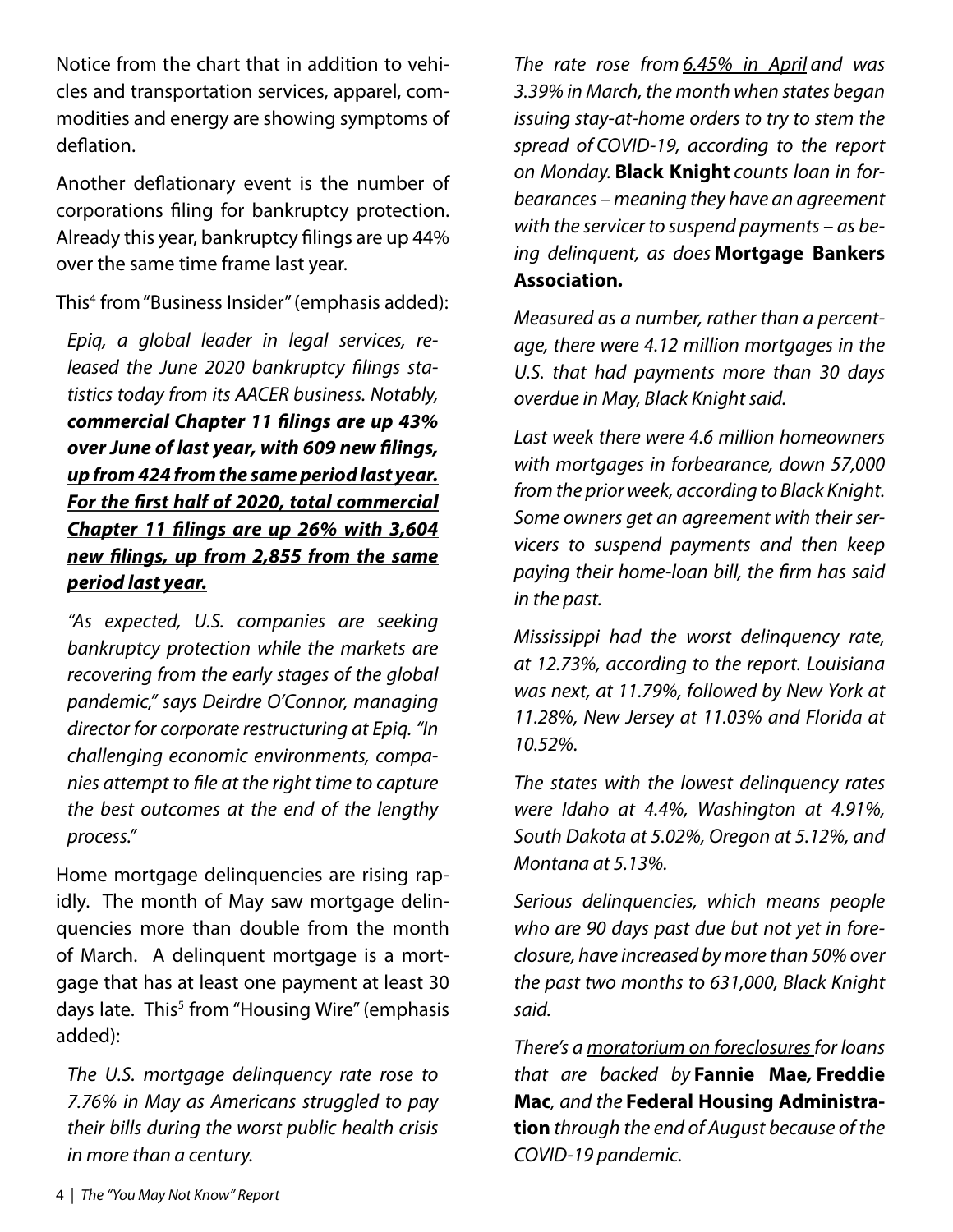Notice from the chart that in addition to vehicles and transportation services, apparel, commodities and energy are showing symptoms of deflation.

Another deflationary event is the number of corporations filing for bankruptcy protection. Already this year, bankruptcy filings are up 44% over the same time frame last year.

This4 from "Business Insider" (emphasis added):

*Epiq, a global leader in legal services, released the June 2020 bankruptcy filings statistics today from its AACER business. Notably, commercial Chapter 11 filings are up 43% over June of last year, with 609 new filings, up from 424 from the same period last year. For the first half of 2020, total commercial Chapter 11 filings are up 26% with 3,604 new filings, up from 2,855 from the same period last year.*

*"As expected, U.S. companies are seeking bankruptcy protection while the markets are recovering from the early stages of the global pandemic," says Deirdre O'Connor, managing director for corporate restructuring at Epiq. "In challenging economic environments, companies attempt to file at the right time to capture the best outcomes at the end of the lengthy process."*

Home mortgage delinquencies are rising rapidly. The month of May saw mortgage delinquencies more than double from the month of March. A delinquent mortgage is a mortgage that has at least one payment at least 30 days late. This<sup>5</sup> from "Housing Wire" (emphasis added):

*The U.S. mortgage delinquency rate rose to 7.76% in May as Americans struggled to pay their bills during the worst public health crisis in more than a century.*

*The rate rose from 6.45% in April and was 3.39% in March, the month when states began issuing stay-at-home orders to try to stem the spread of COVID-19, according to the report on Monday.* **Black Knight** *counts loan in forbearances – meaning they have an agreement with the servicer to suspend payments – as being delinquent, as does* **Mortgage Bankers Association***.*

*Measured as a number, rather than a percentage, there were 4.12 million mortgages in the U.S. that had payments more than 30 days overdue in May, Black Knight said.*

*Last week there were 4.6 million homeowners with mortgages in forbearance, down 57,000 from the prior week, according to Black Knight. Some owners get an agreement with their servicers to suspend payments and then keep paying their home-loan bill, the firm has said in the past.*

*Mississippi had the worst delinquency rate, at 12.73%, according to the report. Louisiana was next, at 11.79%, followed by New York at 11.28%, New Jersey at 11.03% and Florida at 10.52%.*

*The states with the lowest delinquency rates were Idaho at 4.4%, Washington at 4.91%, South Dakota at 5.02%, Oregon at 5.12%, and Montana at 5.13%.*

*Serious delinquencies, which means people who are 90 days past due but not yet in foreclosure, have increased by more than 50% over the past two months to 631,000, Black Knight said.*

*There's a moratorium on foreclosuresfor loans that are backed by* **Fannie Mae***,* **Freddie Mac***, and the* **Federal Housing Administration** *through the end of August because of the COVID-19 pandemic.*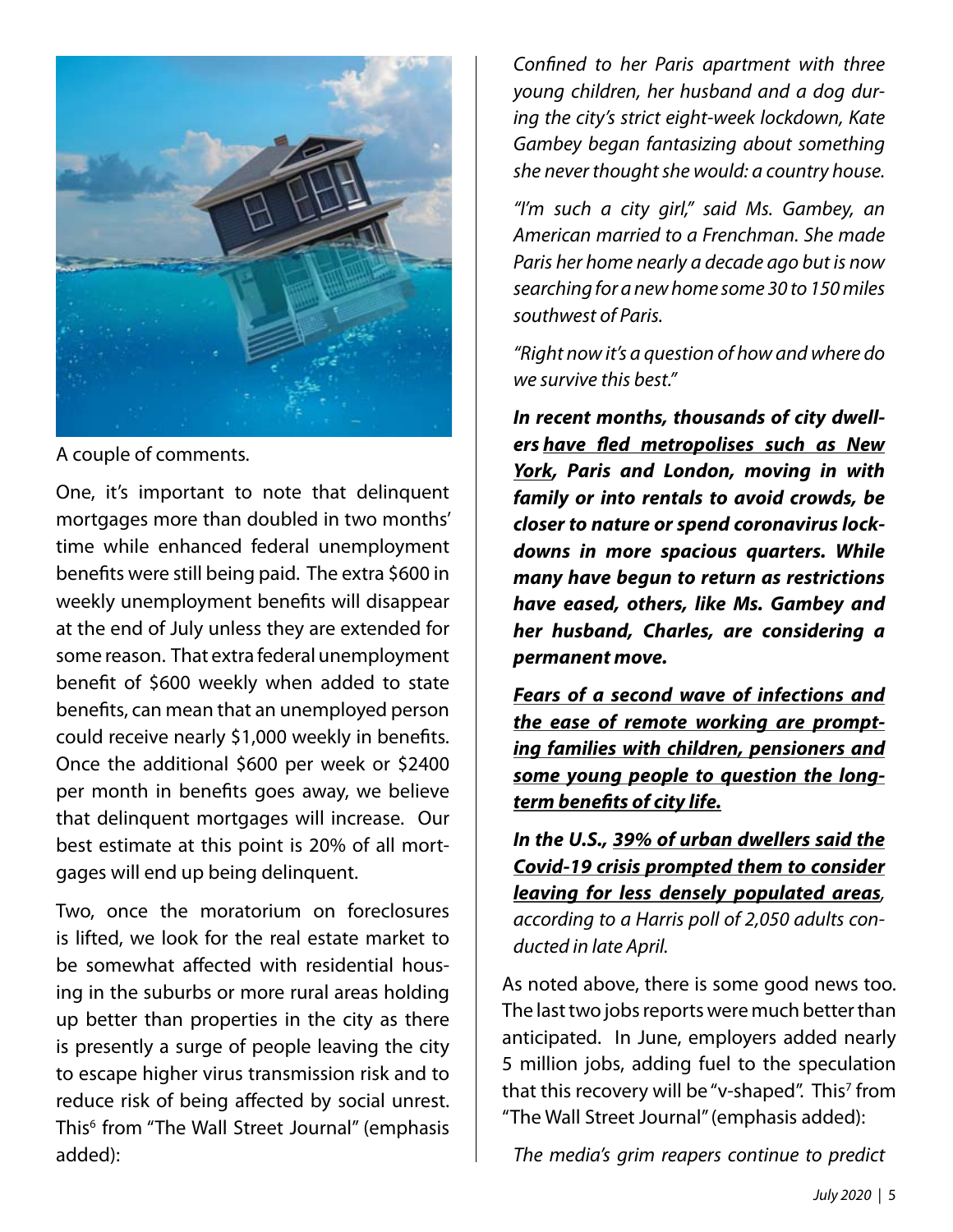

A couple of comments.

One, it's important to note that delinquent mortgages more than doubled in two months' time while enhanced federal unemployment benefits were still being paid. The extra \$600 in weekly unemployment benefits will disappear at the end of July unless they are extended for some reason. That extra federal unemployment benefit of \$600 weekly when added to state benefits, can mean that an unemployed person could receive nearly \$1,000 weekly in benefits. Once the additional \$600 per week or \$2400 per month in benefits goes away, we believe that delinquent mortgages will increase. Our best estimate at this point is 20% of all mortgages will end up being delinquent.

Two, once the moratorium on foreclosures is lifted, we look for the real estate market to be somewhat affected with residential housing in the suburbs or more rural areas holding up better than properties in the city as there is presently a surge of people leaving the city to escape higher virus transmission risk and to reduce risk of being affected by social unrest. This6 from "The Wall Street Journal" (emphasis added):

*Confined to her Paris apartment with three young children, her husband and a dog during the city's strict eight-week lockdown, Kate Gambey began fantasizing about something she never thought she would: a country house.*

*"I'm such a city girl," said Ms. Gambey, an American married to a Frenchman. She made Paris her home nearly a decade ago but is now searching for a new home some 30 to 150 miles southwest of Paris.*

*"Right now it's a question of how and where do we survive this best."*

*In recent months, thousands of city dwellers have fled metropolises such as New York, Paris and London, moving in with family or into rentals to avoid crowds, be closer to nature or spend coronavirus lockdowns in more spacious quarters. While many have begun to return as restrictions have eased, others, like Ms. Gambey and her husband, Charles, are considering a permanent move.*

*Fears of a second wave of infections and the ease of remote working are prompting families with children, pensioners and some young people to question the longterm benefits of city life.*

*In the U.S., 39% of urban dwellers said the Covid-19 crisis prompted them to consider leaving for less densely populated areas, according to a Harris poll of 2,050 adults conducted in late April.*

As noted above, there is some good news too. The last two jobs reports were much better than anticipated. In June, employers added nearly 5 million jobs, adding fuel to the speculation that this recovery will be "v-shaped". This<sup>7</sup> from "The Wall Street Journal" (emphasis added):

*The media's grim reapers continue to predict*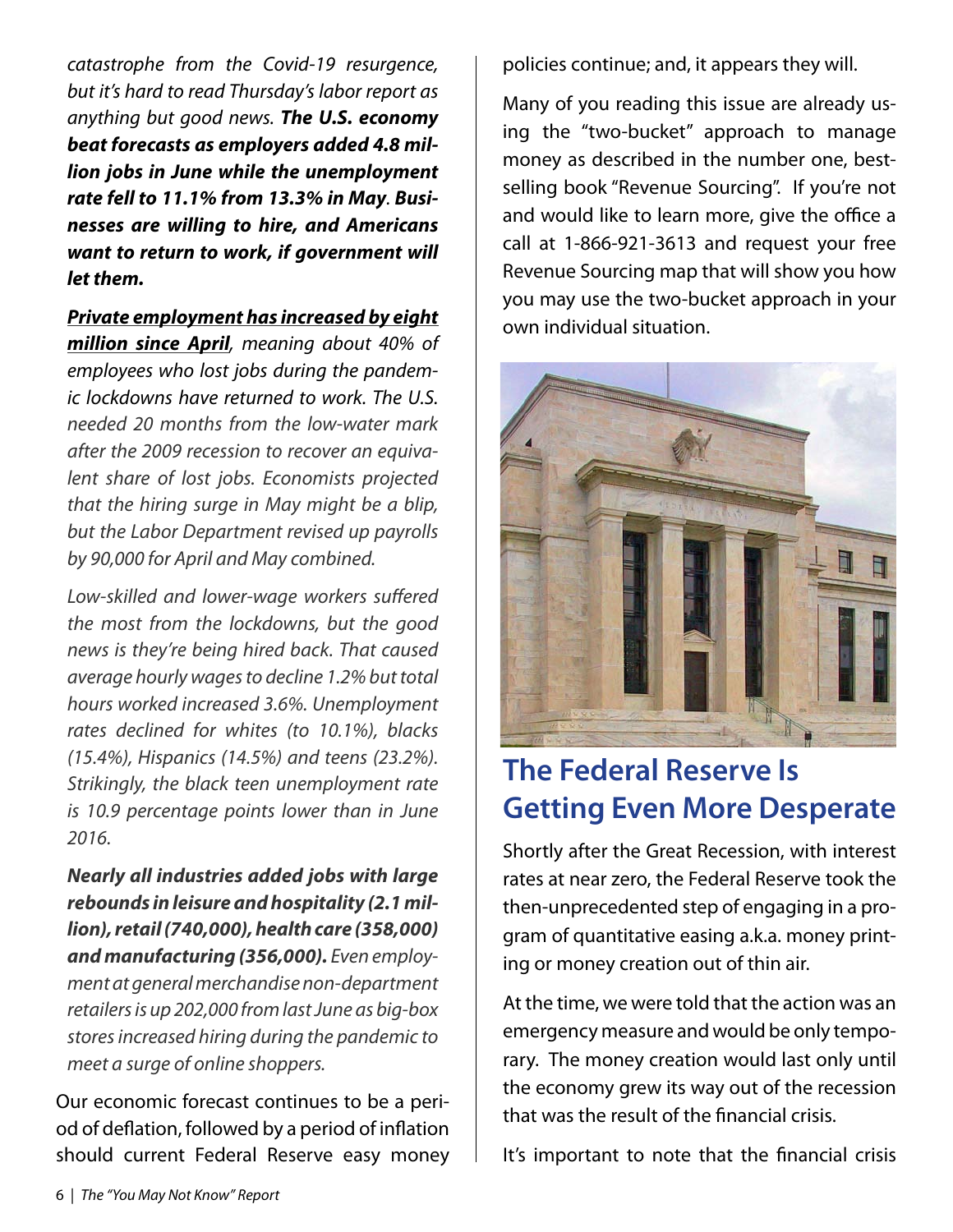*catastrophe from the Covid-19 resurgence, but it's hard to read Thursday's labor report as anything but good news. The U.S. economy beat forecasts as employers added 4.8 million jobs in June while the unemployment rate fell to 11.1% from 13.3% in May. Businesses are willing to hire, and Americans want to return to work, if government will let them.*

*Private employment has increased by eight*

*million since April, meaning about 40% of employees who lost jobs during the pandemic lockdowns have returned to work. The U.S. needed 20 months from the low-water mark after the 2009 recession to recover an equivalent share of lost jobs. Economists projected that the hiring surge in May might be a blip, but the Labor Department revised up payrolls by 90,000 for April and May combined.*

*Low-skilled and lower-wage workers suffered the most from the lockdowns, but the good news is they're being hired back. That caused average hourly wages to decline 1.2% but total hours worked increased 3.6%. Unemployment rates declined for whites (to 10.1%), blacks (15.4%), Hispanics (14.5%) and teens (23.2%). Strikingly, the black teen unemployment rate is 10.9 percentage points lower than in June 2016.*

*Nearly all industries added jobs with large rebounds in leisure and hospitality (2.1 million), retail (740,000), health care (358,000) and manufacturing (356,000). Even employment at general merchandise non-department retailers is up 202,000 from last June as big-box stores increased hiring during the pandemic to meet a surge of online shoppers.*

Our economic forecast continues to be a period of deflation, followed by a period of inflation should current Federal Reserve easy money policies continue; and, it appears they will.

Many of you reading this issue are already using the "two-bucket" approach to manage money as described in the number one, bestselling book "Revenue Sourcing". If you're not and would like to learn more, give the office a call at 1-866-921-3613 and request your free Revenue Sourcing map that will show you how you may use the two-bucket approach in your own individual situation.



## **The Federal Reserve Is Getting Even More Desperate**

Shortly after the Great Recession, with interest rates at near zero, the Federal Reserve took the then-unprecedented step of engaging in a program of quantitative easing a.k.a. money printing or money creation out of thin air.

At the time, we were told that the action was an emergency measure and would be only temporary. The money creation would last only until the economy grew its way out of the recession that was the result of the financial crisis.

It's important to note that the financial crisis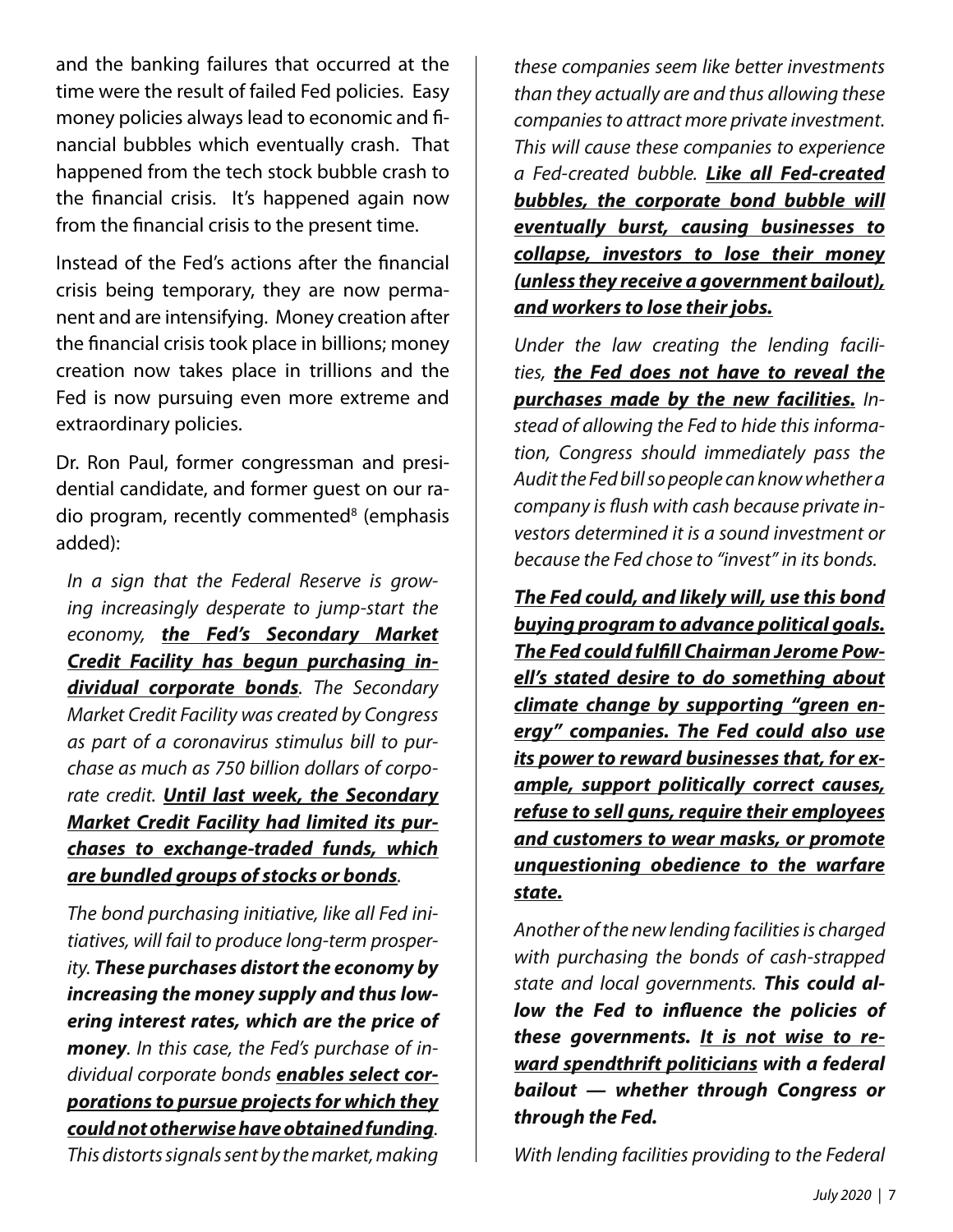and the banking failures that occurred at the time were the result of failed Fed policies. Easy money policies always lead to economic and financial bubbles which eventually crash. That happened from the tech stock bubble crash to the financial crisis. It's happened again now from the financial crisis to the present time.

Instead of the Fed's actions after the financial crisis being temporary, they are now permanent and are intensifying. Money creation after the financial crisis took place in billions; money creation now takes place in trillions and the Fed is now pursuing even more extreme and extraordinary policies.

Dr. Ron Paul, former congressman and presidential candidate, and former guest on our radio program, recently commented<sup>8</sup> (emphasis added):

*In a sign that the Federal Reserve is growing increasingly desperate to jump-start the economy, the Fed's Secondary Market Credit Facility has begun purchasing individual corporate bonds. The Secondary Market Credit Facility was created by Congress as part of a coronavirus stimulus bill to purchase as much as 750 billion dollars of corporate credit. Until last week, the Secondary Market Credit Facility had limited its purchases to exchange-traded funds, which are bundled groups of stocks or bonds.*

*The bond purchasing initiative, like all Fed initiatives, will fail to produce long-term prosperity. These purchases distort the economy by increasing the money supply and thus lowering interest rates, which are the price of money. In this case, the Fed's purchase of individual corporate bonds enables select corporations to pursue projects for which they could not otherwise have obtained funding. This distorts signals sent by the market, making* 

*these companies seem like better investments than they actually are and thus allowing these companies to attract more private investment. This will cause these companies to experience a Fed-created bubble. Like all Fed-created bubbles, the corporate bond bubble will eventually burst, causing businesses to collapse, investors to lose their money (unless they receive a government bailout), and workers to lose their jobs.*

*Under the law creating the lending facilities, the Fed does not have to reveal the purchases made by the new facilities. Instead of allowing the Fed to hide this information, Congress should immediately pass the Audit the Fed bill so people can know whether a company is flush with cash because private investors determined it is a sound investment or because the Fed chose to "invest" in its bonds.*

*The Fed could, and likely will, use this bond buying program to advance political goals. The Fed could fulfill Chairman Jerome Powell's stated desire to do something about climate change by supporting "green energy" companies. The Fed could also use its power to reward businesses that, for example, support politically correct causes, refuse to sell guns, require their employees and customers to wear masks, or promote unquestioning obedience to the warfare state.*

*Another of the new lending facilities is charged with purchasing the bonds of cash-strapped state and local governments. This could allow the Fed to influence the policies of these governments. It is not wise to reward spendthrift politicians with a federal bailout — whether through Congress or through the Fed.*

*With lending facilities providing to the Federal*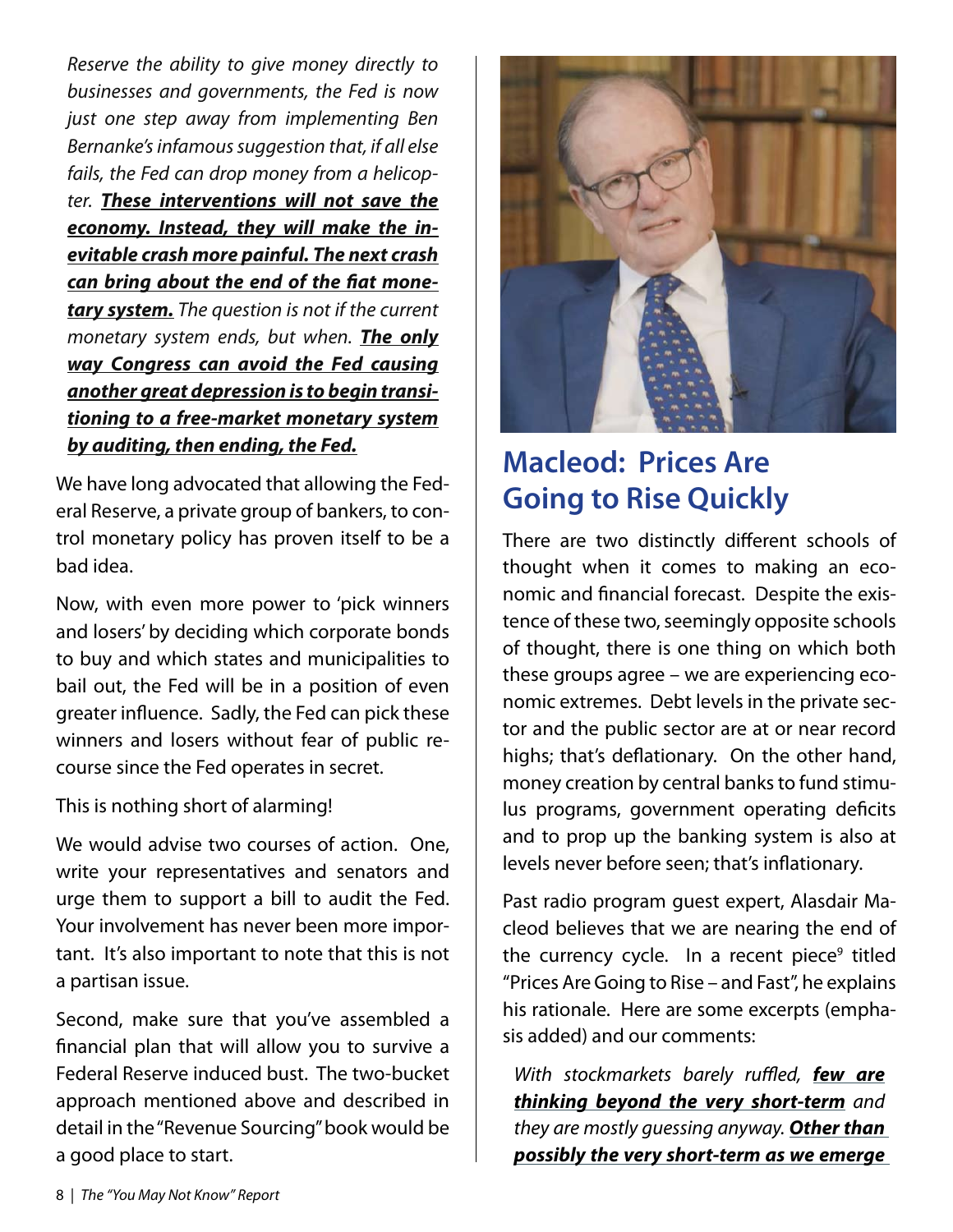*Reserve the ability to give money directly to businesses and governments, the Fed is now just one step away from implementing Ben Bernanke's infamous suggestion that, if all else fails, the Fed can drop money from a helicopter. These interventions will not save the economy. Instead, they will make the inevitable crash more painful. The next crash can bring about the end of the fiat monetary system. The question is not if the current monetary system ends, but when. The only way Congress can avoid the Fed causing another great depression is to begin transitioning to a free-market monetary system by auditing, then ending, the Fed.*

We have long advocated that allowing the Federal Reserve, a private group of bankers, to control monetary policy has proven itself to be a bad idea.

Now, with even more power to 'pick winners and losers' by deciding which corporate bonds to buy and which states and municipalities to bail out, the Fed will be in a position of even greater influence. Sadly, the Fed can pick these winners and losers without fear of public recourse since the Fed operates in secret.

This is nothing short of alarming!

We would advise two courses of action. One, write your representatives and senators and urge them to support a bill to audit the Fed. Your involvement has never been more important. It's also important to note that this is not a partisan issue.

Second, make sure that you've assembled a financial plan that will allow you to survive a Federal Reserve induced bust. The two-bucket approach mentioned above and described in detail in the "Revenue Sourcing" book would be a good place to start.



## **Macleod: Prices Are Going to Rise Quickly**

There are two distinctly different schools of thought when it comes to making an economic and financial forecast. Despite the existence of these two, seemingly opposite schools of thought, there is one thing on which both these groups agree – we are experiencing economic extremes. Debt levels in the private sector and the public sector are at or near record highs; that's deflationary. On the other hand, money creation by central banks to fund stimulus programs, government operating deficits and to prop up the banking system is also at levels never before seen; that's inflationary.

Past radio program guest expert, Alasdair Macleod believes that we are nearing the end of the currency cycle. In a recent piece<sup>9</sup> titled "Prices Are Going to Rise – and Fast", he explains his rationale. Here are some excerpts (emphasis added) and our comments:

*With stockmarkets barely ruffled, few are thinking beyond the very short-term and they are mostly guessing anyway. Other than possibly the very short-term as we emerge*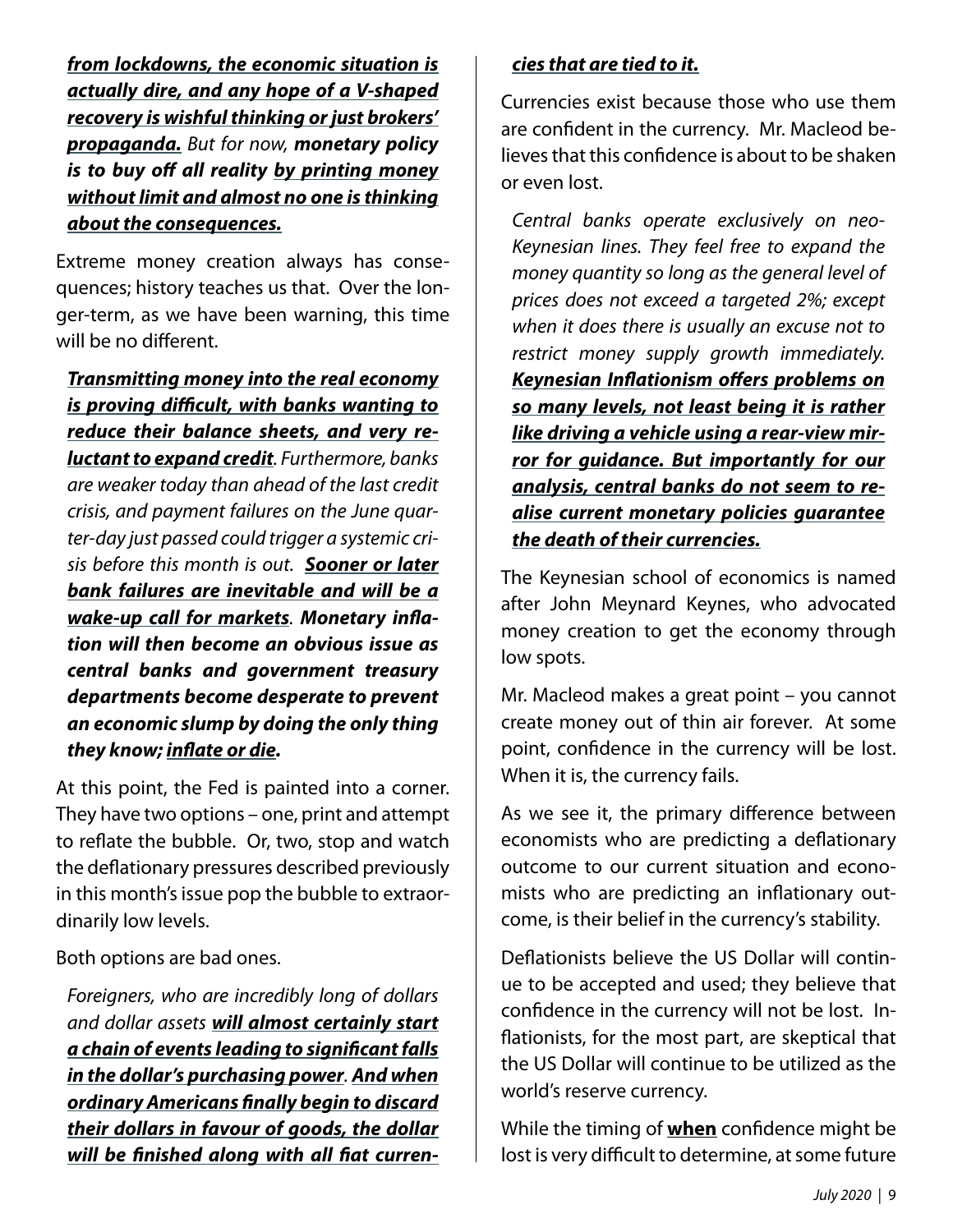*from lockdowns, the economic situation is actually dire, and any hope of a V-shaped recovery is wishful thinking or just brokers' propaganda. But for now, monetary policy is to buy off all reality by printing money without limit and almost no one is thinking about the consequences.*

Extreme money creation always has consequences; history teaches us that. Over the longer-term, as we have been warning, this time will be no different.

*Transmitting money into the real economy is proving difficult, with banks wanting to reduce their balance sheets, and very reluctant to expand credit. Furthermore, banks are weaker today than ahead of the last credit crisis, and payment failures on the June quarter-day just passed could trigger a systemic crisis before this month is out. Sooner or later bank failures are inevitable and will be a wake-up call for markets. Monetary inflation will then become an obvious issue as central banks and government treasury departments become desperate to prevent an economic slump by doing the only thing they know; inflate or die.*

At this point, the Fed is painted into a corner. They have two options – one, print and attempt to reflate the bubble. Or, two, stop and watch the deflationary pressures described previously in this month's issue pop the bubble to extraordinarily low levels.

Both options are bad ones.

*Foreigners, who are incredibly long of dollars and dollar assets will almost certainly start a chain of events leading to significant falls in the dollar's purchasing power. And when ordinary Americans finally begin to discard their dollars in favour of goods, the dollar will be finished along with all fiat curren-*

#### *cies that are tied to it.*

Currencies exist because those who use them are confident in the currency. Mr. Macleod believes that this confidence is about to be shaken or even lost.

*Central banks operate exclusively on neo-Keynesian lines. They feel free to expand the money quantity so long as the general level of prices does not exceed a targeted 2%; except when it does there is usually an excuse not to restrict money supply growth immediately. Keynesian Inflationism offers problems on so many levels, not least being it is rather like driving a vehicle using a rear-view mirror for guidance. But importantly for our analysis, central banks do not seem to realise current monetary policies guarantee the death of their currencies.*

The Keynesian school of economics is named after John Meynard Keynes, who advocated money creation to get the economy through low spots.

Mr. Macleod makes a great point – you cannot create money out of thin air forever. At some point, confidence in the currency will be lost. When it is, the currency fails.

As we see it, the primary difference between economists who are predicting a deflationary outcome to our current situation and economists who are predicting an inflationary outcome, is their belief in the currency's stability.

Deflationists believe the US Dollar will continue to be accepted and used; they believe that confidence in the currency will not be lost. Inflationists, for the most part, are skeptical that the US Dollar will continue to be utilized as the world's reserve currency.

While the timing of **when** confidence might be lost is very difficult to determine, at some future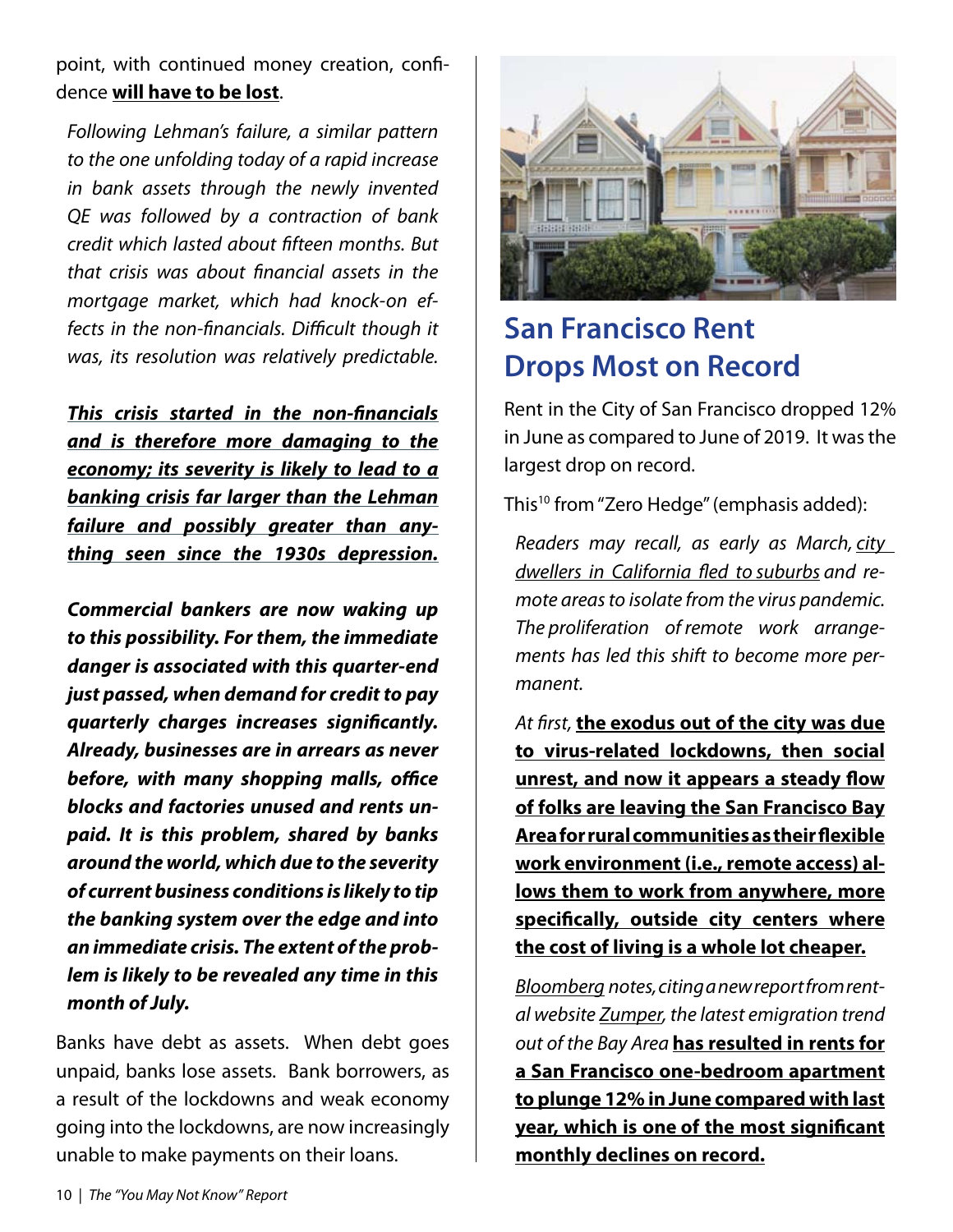point, with continued money creation, confidence **will have to be lost**.

*Following Lehman's failure, a similar pattern to the one unfolding today of a rapid increase in bank assets through the newly invented QE was followed by a contraction of bank credit which lasted about fifteen months. But that crisis was about financial assets in the mortgage market, which had knock-on effects in the non-financials. Difficult though it was, its resolution was relatively predictable.*

*This crisis started in the non-financials and is therefore more damaging to the economy; its severity is likely to lead to a banking crisis far larger than the Lehman failure and possibly greater than anything seen since the 1930s depression.*

*Commercial bankers are now waking up to this possibility. For them, the immediate danger is associated with this quarter-end just passed, when demand for credit to pay quarterly charges increases significantly. Already, businesses are in arrears as never before, with many shopping malls, office blocks and factories unused and rents unpaid. It is this problem, shared by banks around the world, which due to the severity of current business conditions is likely to tip the banking system over the edge and into an immediate crisis. The extent of the problem is likely to be revealed any time in this month of July.*

Banks have debt as assets. When debt goes unpaid, banks lose assets. Bank borrowers, as a result of the lockdowns and weak economy going into the lockdowns, are now increasingly unable to make payments on their loans.



## **San Francisco Rent Drops Most on Record**

Rent in the City of San Francisco dropped 12% in June as compared to June of 2019. It was the largest drop on record.

This<sup>10</sup> from "Zero Hedge" (emphasis added):

*Readers may recall, as early as March, city dwellers in California fled to suburbs and remote areas to isolate from the virus pandemic. The proliferation of remote work arrangements has led this shift to become more permanent.*

*At first,* **the exodus out of the city was due to virus-related lockdowns, then social unrest, and now it appears a steady flow of folks are leaving the San Francisco Bay Area for rural communities as their flexible work environment (i.e., remote access) allows them to work from anywhere, more specifically, outside city centers where the cost of living is a whole lot cheaper.**

*Bloomberg notes, citing a new report from rental website Zumper, the latest emigration trend out of the Bay Area* **has resulted in rents for a San Francisco one-bedroom apartment to plunge 12% in June compared with last year, which is one of the most significant monthly declines on record.**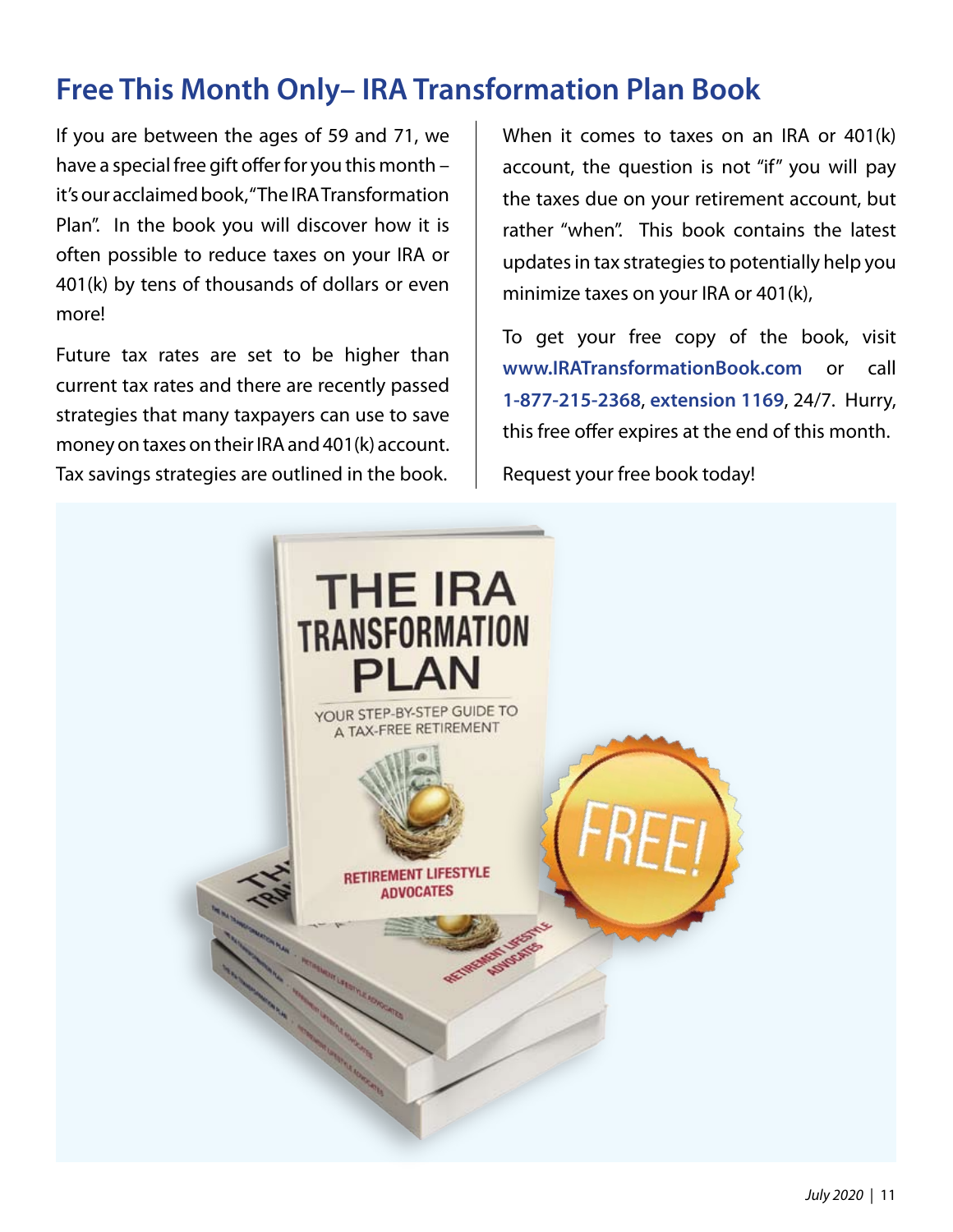## **Free This Month Only– IRA Transformation Plan Book**

If you are between the ages of 59 and 71, we have a special free gift offer for you this month – it's our acclaimed book, "The IRA Transformation Plan". In the book you will discover how it is often possible to reduce taxes on your IRA or 401(k) by tens of thousands of dollars or even more!

Future tax rates are set to be higher than current tax rates and there are recently passed strategies that many taxpayers can use to save money on taxes on their IRA and 401(k) account. Tax savings strategies are outlined in the book.

When it comes to taxes on an IRA or 401(k) account, the question is not "if" you will pay the taxes due on your retirement account, but rather "when". This book contains the latest updates in tax strategies to potentially help you minimize taxes on your IRA or 401(k),

To get your free copy of the book, visit **www.IRATransformationBook.com** or call **1-877-215-2368**, **extension 1169**, 24/7. Hurry, this free offer expires at the end of this month. Request your free book today!